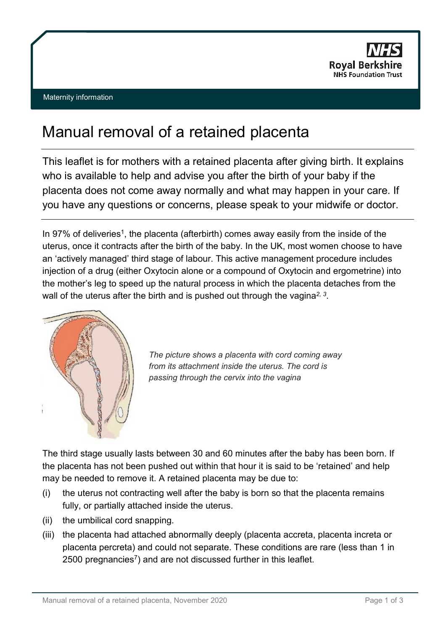

## Manual removal of a retained placenta

This leaflet is for mothers with a retained placenta after giving birth. It explains who is available to help and advise you after the birth of your baby if the placenta does not come away normally and what may happen in your care. If you have any questions or concerns, please speak to your midwife or doctor.

In 97% of deliveries<sup>1</sup>, the placenta (afterbirth) comes away easily from the inside of the uterus, once it contracts after the birth of the baby. In the UK, most women choose to have an 'actively managed' third stage of labour. This active management procedure includes injection of a drug (either Oxytocin alone or a compound of Oxytocin and ergometrine) into the mother's leg to speed up the natural process in which the placenta detaches from the wall of the uterus after the birth and is pushed out through the vagina*2, 3*.



*The picture shows a placenta with cord coming away from its attachment inside the uterus. The cord is passing through the cervix into the vagina*

The third stage usually lasts between 30 and 60 minutes after the baby has been born. If the placenta has not been pushed out within that hour it is said to be 'retained' and help may be needed to remove it. A retained placenta may be due to:

- (i) the uterus not contracting well after the baby is born so that the placenta remains fully, or partially attached inside the uterus.
- (ii) the umbilical cord snapping.
- (iii) the placenta had attached abnormally deeply (placenta accreta, placenta increta or placenta percreta) and could not separate. These conditions are rare (less than 1 in 2500 pregnancies<sup>7</sup>) and are not discussed further in this leaflet.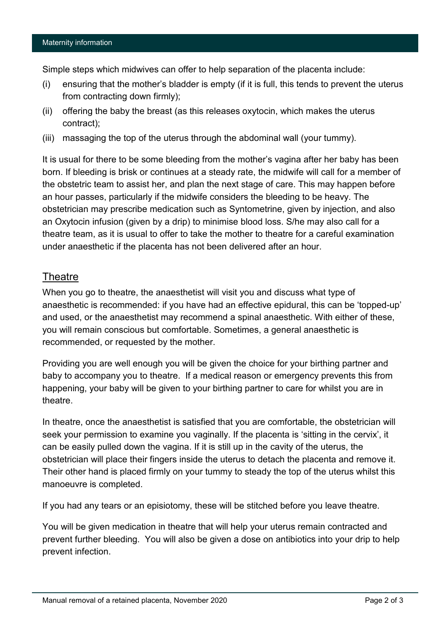Simple steps which midwives can offer to help separation of the placenta include:

- (i) ensuring that the mother's bladder is empty (if it is full, this tends to prevent the uterus from contracting down firmly);
- (ii) offering the baby the breast (as this releases oxytocin, which makes the uterus contract);
- (iii) massaging the top of the uterus through the abdominal wall (your tummy).

It is usual for there to be some bleeding from the mother's vagina after her baby has been born. If bleeding is brisk or continues at a steady rate, the midwife will call for a member of the obstetric team to assist her, and plan the next stage of care. This may happen before an hour passes, particularly if the midwife considers the bleeding to be heavy. The obstetrician may prescribe medication such as Syntometrine, given by injection, and also an Oxytocin infusion (given by a drip) to minimise blood loss. S/he may also call for a theatre team, as it is usual to offer to take the mother to theatre for a careful examination under anaesthetic if the placenta has not been delivered after an hour.

## **Theatre**

When you go to theatre, the anaesthetist will visit you and discuss what type of anaesthetic is recommended: if you have had an effective epidural, this can be 'topped-up' and used, or the anaesthetist may recommend a spinal anaesthetic. With either of these, you will remain conscious but comfortable. Sometimes, a general anaesthetic is recommended, or requested by the mother.

Providing you are well enough you will be given the choice for your birthing partner and baby to accompany you to theatre. If a medical reason or emergency prevents this from happening, your baby will be given to your birthing partner to care for whilst you are in theatre.

In theatre, once the anaesthetist is satisfied that you are comfortable, the obstetrician will seek your permission to examine you vaginally. If the placenta is 'sitting in the cervix', it can be easily pulled down the vagina. If it is still up in the cavity of the uterus, the obstetrician will place their fingers inside the uterus to detach the placenta and remove it. Their other hand is placed firmly on your tummy to steady the top of the uterus whilst this manoeuvre is completed.

If you had any tears or an episiotomy, these will be stitched before you leave theatre.

You will be given medication in theatre that will help your uterus remain contracted and prevent further bleeding. You will also be given a dose on antibiotics into your drip to help prevent infection.